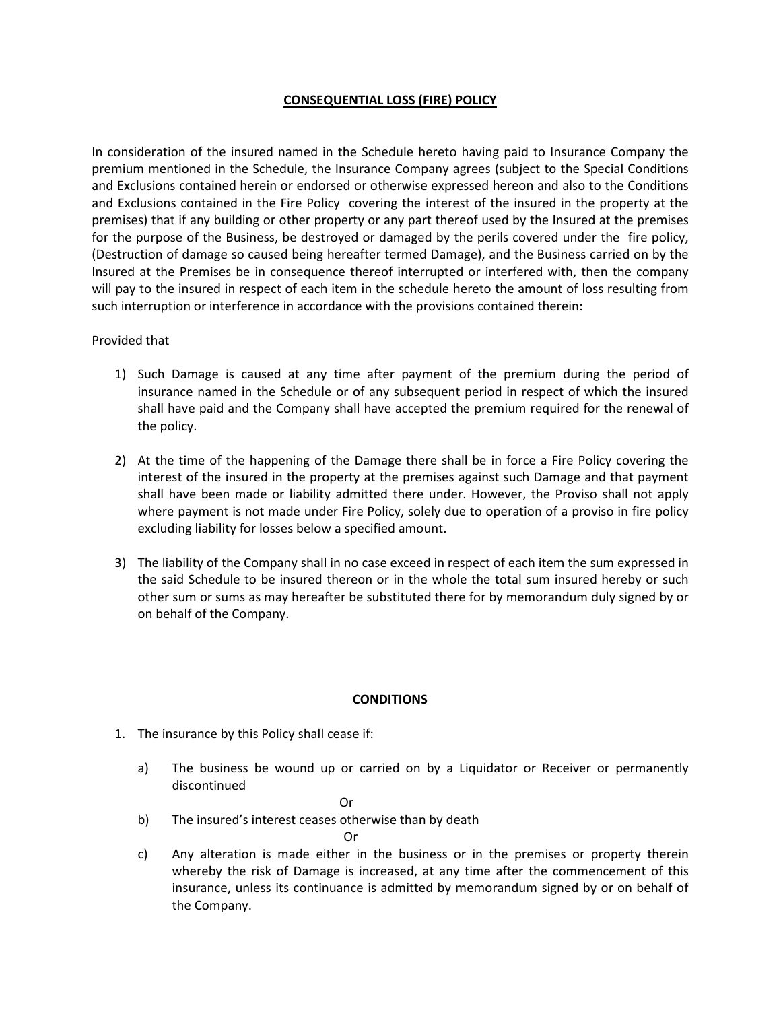# CONSEQUENTIAL LOSS (FIRE) POLICY

In consideration of the insured named in the Schedule hereto having paid to Insurance Company the premium mentioned in the Schedule, the Insurance Company agrees (subject to the Special Conditions and Exclusions contained herein or endorsed or otherwise expressed hereon and also to the Conditions and Exclusions contained in the Fire Policy covering the interest of the insured in the property at the premises) that if any building or other property or any part thereof used by the Insured at the premises for the purpose of the Business, be destroyed or damaged by the perils covered under the fire policy, (Destruction of damage so caused being hereafter termed Damage), and the Business carried on by the Insured at the Premises be in consequence thereof interrupted or interfered with, then the company will pay to the insured in respect of each item in the schedule hereto the amount of loss resulting from such interruption or interference in accordance with the provisions contained therein:

## Provided that

- 1) Such Damage is caused at any time after payment of the premium during the period of insurance named in the Schedule or of any subsequent period in respect of which the insured shall have paid and the Company shall have accepted the premium required for the renewal of the policy.
- 2) At the time of the happening of the Damage there shall be in force a Fire Policy covering the interest of the insured in the property at the premises against such Damage and that payment shall have been made or liability admitted there under. However, the Proviso shall not apply where payment is not made under Fire Policy, solely due to operation of a proviso in fire policy excluding liability for losses below a specified amount.
- 3) The liability of the Company shall in no case exceed in respect of each item the sum expressed in the said Schedule to be insured thereon or in the whole the total sum insured hereby or such other sum or sums as may hereafter be substituted there for by memorandum duly signed by or on behalf of the Company.

# **CONDITIONS**

- 1. The insurance by this Policy shall cease if:
	- a) The business be wound up or carried on by a Liquidator or Receiver or permanently discontinued

**Contract Contract Contract Contract Contract Contract Contract Contract Contract Contract Contract Contract Contract Contract Contract Contract Contract Contract Contract Contract Contract Contract Contract Contract Contr** 

b) The insured's interest ceases otherwise than by death

Or

c) Any alteration is made either in the business or in the premises or property therein whereby the risk of Damage is increased, at any time after the commencement of this insurance, unless its continuance is admitted by memorandum signed by or on behalf of the Company.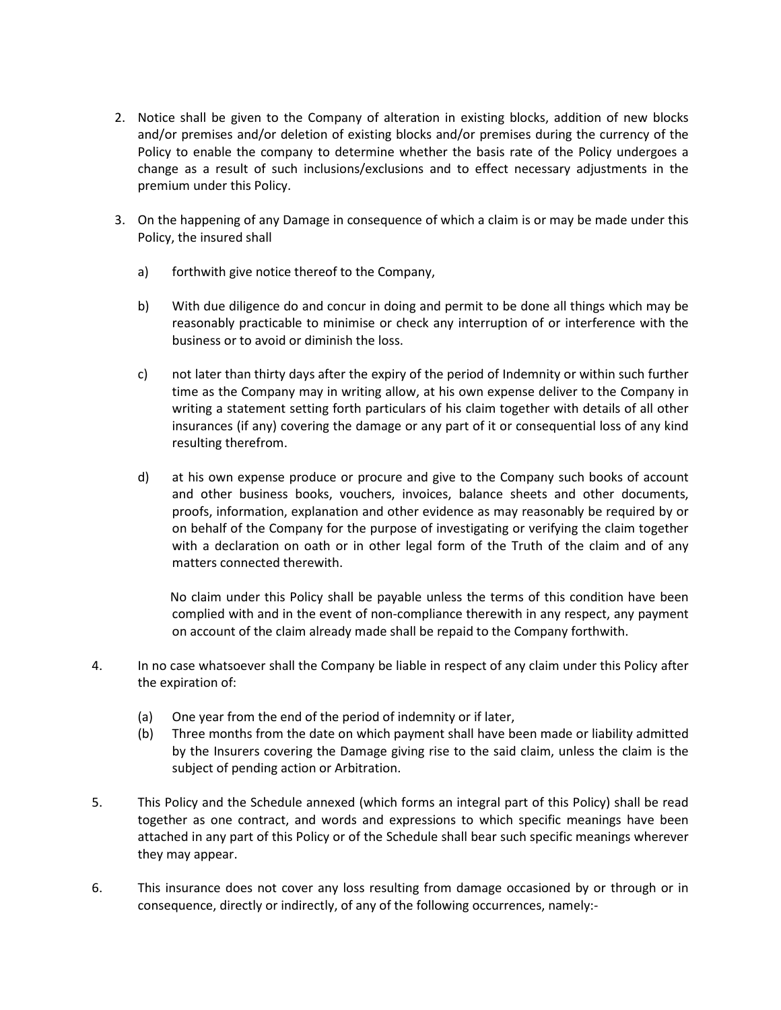- 2. Notice shall be given to the Company of alteration in existing blocks, addition of new blocks and/or premises and/or deletion of existing blocks and/or premises during the currency of the Policy to enable the company to determine whether the basis rate of the Policy undergoes a change as a result of such inclusions/exclusions and to effect necessary adjustments in the premium under this Policy.
- 3. On the happening of any Damage in consequence of which a claim is or may be made under this Policy, the insured shall
	- a) forthwith give notice thereof to the Company,
	- b) With due diligence do and concur in doing and permit to be done all things which may be reasonably practicable to minimise or check any interruption of or interference with the business or to avoid or diminish the loss.
	- c) not later than thirty days after the expiry of the period of Indemnity or within such further time as the Company may in writing allow, at his own expense deliver to the Company in writing a statement setting forth particulars of his claim together with details of all other insurances (if any) covering the damage or any part of it or consequential loss of any kind resulting therefrom.
	- d) at his own expense produce or procure and give to the Company such books of account and other business books, vouchers, invoices, balance sheets and other documents, proofs, information, explanation and other evidence as may reasonably be required by or on behalf of the Company for the purpose of investigating or verifying the claim together with a declaration on oath or in other legal form of the Truth of the claim and of any matters connected therewith.

 No claim under this Policy shall be payable unless the terms of this condition have been complied with and in the event of non-compliance therewith in any respect, any payment on account of the claim already made shall be repaid to the Company forthwith.

- 4. In no case whatsoever shall the Company be liable in respect of any claim under this Policy after the expiration of:
	- (a) One year from the end of the period of indemnity or if later,
	- (b) Three months from the date on which payment shall have been made or liability admitted by the Insurers covering the Damage giving rise to the said claim, unless the claim is the subject of pending action or Arbitration.
- 5. This Policy and the Schedule annexed (which forms an integral part of this Policy) shall be read together as one contract, and words and expressions to which specific meanings have been attached in any part of this Policy or of the Schedule shall bear such specific meanings wherever they may appear.
- 6. This insurance does not cover any loss resulting from damage occasioned by or through or in consequence, directly or indirectly, of any of the following occurrences, namely:-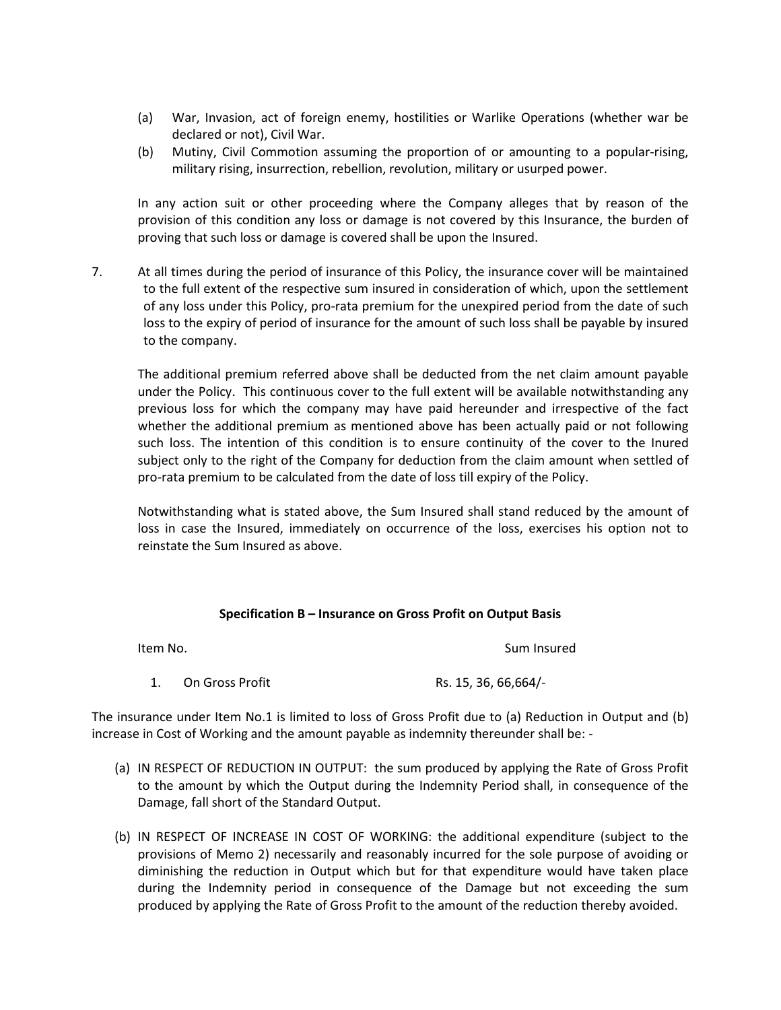- (a) War, Invasion, act of foreign enemy, hostilities or Warlike Operations (whether war be declared or not), Civil War.
- (b) Mutiny, Civil Commotion assuming the proportion of or amounting to a popular-rising, military rising, insurrection, rebellion, revolution, military or usurped power.

In any action suit or other proceeding where the Company alleges that by reason of the provision of this condition any loss or damage is not covered by this Insurance, the burden of proving that such loss or damage is covered shall be upon the Insured.

7. At all times during the period of insurance of this Policy, the insurance cover will be maintained to the full extent of the respective sum insured in consideration of which, upon the settlement of any loss under this Policy, pro-rata premium for the unexpired period from the date of such loss to the expiry of period of insurance for the amount of such loss shall be payable by insured to the company.

The additional premium referred above shall be deducted from the net claim amount payable under the Policy. This continuous cover to the full extent will be available notwithstanding any previous loss for which the company may have paid hereunder and irrespective of the fact whether the additional premium as mentioned above has been actually paid or not following such loss. The intention of this condition is to ensure continuity of the cover to the Inured subject only to the right of the Company for deduction from the claim amount when settled of pro-rata premium to be calculated from the date of loss till expiry of the Policy.

Notwithstanding what is stated above, the Sum Insured shall stand reduced by the amount of loss in case the Insured, immediately on occurrence of the loss, exercises his option not to reinstate the Sum Insured as above.

# Specification B – Insurance on Gross Profit on Output Basis

| Item No. |                 | Sum Insured           |
|----------|-----------------|-----------------------|
|          | On Gross Profit | Rs. 15, 36, 66, 664/- |

The insurance under Item No.1 is limited to loss of Gross Profit due to (a) Reduction in Output and (b) increase in Cost of Working and the amount payable as indemnity thereunder shall be: -

- (a) IN RESPECT OF REDUCTION IN OUTPUT: the sum produced by applying the Rate of Gross Profit to the amount by which the Output during the Indemnity Period shall, in consequence of the Damage, fall short of the Standard Output.
- (b) IN RESPECT OF INCREASE IN COST OF WORKING: the additional expenditure (subject to the provisions of Memo 2) necessarily and reasonably incurred for the sole purpose of avoiding or diminishing the reduction in Output which but for that expenditure would have taken place during the Indemnity period in consequence of the Damage but not exceeding the sum produced by applying the Rate of Gross Profit to the amount of the reduction thereby avoided.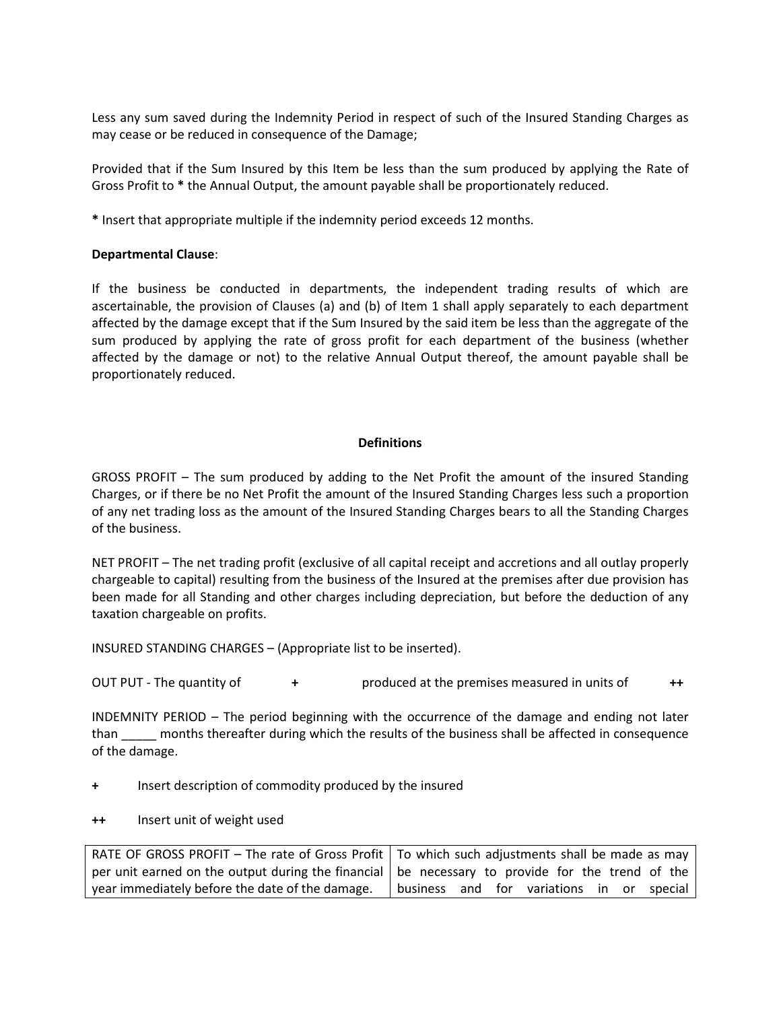Less any sum saved during the Indemnity Period in respect of such of the Insured Standing Charges as may cease or be reduced in consequence of the Damage;

Provided that if the Sum Insured by this Item be less than the sum produced by applying the Rate of Gross Profit to \* the Annual Output, the amount payable shall be proportionately reduced.

\* Insert that appropriate multiple if the indemnity period exceeds 12 months.

## Departmental Clause:

If the business be conducted in departments, the independent trading results of which are ascertainable, the provision of Clauses (a) and (b) of Item 1 shall apply separately to each department affected by the damage except that if the Sum Insured by the said item be less than the aggregate of the sum produced by applying the rate of gross profit for each department of the business (whether affected by the damage or not) to the relative Annual Output thereof, the amount payable shall be proportionately reduced.

## **Definitions**

GROSS PROFIT – The sum produced by adding to the Net Profit the amount of the insured Standing Charges, or if there be no Net Profit the amount of the Insured Standing Charges less such a proportion of any net trading loss as the amount of the Insured Standing Charges bears to all the Standing Charges of the business.

NET PROFIT – The net trading profit (exclusive of all capital receipt and accretions and all outlay properly chargeable to capital) resulting from the business of the Insured at the premises after due provision has been made for all Standing and other charges including depreciation, but before the deduction of any taxation chargeable on profits.

INSURED STANDING CHARGES – (Appropriate list to be inserted).

OUT PUT - The quantity of  $+$  produced at the premises measured in units of  $+$ 

INDEMNITY PERIOD – The period beginning with the occurrence of the damage and ending not later than \_\_\_\_\_ months thereafter during which the results of the business shall be affected in consequence of the damage.

- + Insert description of commodity produced by the insured
- ++ Insert unit of weight used

RATE OF GROSS PROFIT – The rate of Gross Profit per unit earned on the output during the financial year immediately before the date of the damage. To which such adjustments shall be made as may be necessary to provide for the trend of the business and for variations in or special